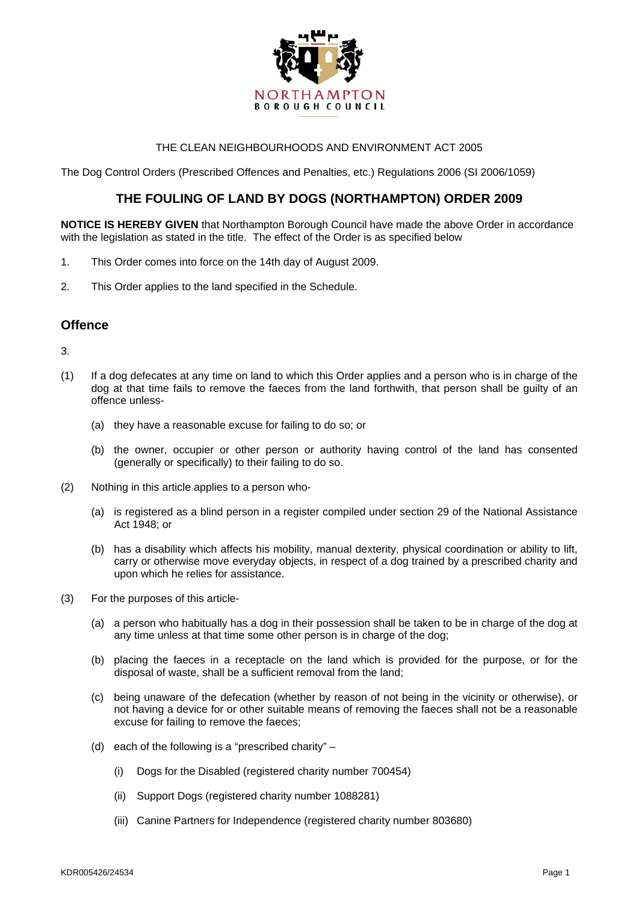

### THE CLEAN NEIGHBOURHOODS AND ENVIRONMENT ACT 2005

The Dog Control Orders (Prescribed Offences and Penalties, etc.) Regulations 2006 (SI 2006/1059)

## **THE FOULING OF LAND BY DOGS (NORTHAMPTON) ORDER 2009**

**NOTICE IS HEREBY GIVEN** that Northampton Borough Council have made the above Order in accordance with the legislation as stated in the title. The effect of the Order is as specified below

- 1. This Order comes into force on the 14th day of August 2009.
- 2. This Order applies to the land specified in the Schedule.

### **Offence**

3.

- (1) If a dog defecates at any time on land to which this Order applies and a person who is in charge of the dog at that time fails to remove the faeces from the land forthwith, that person shall be guilty of an offence unless-
	- (a) they have a reasonable excuse for failing to do so; or
	- (b) the owner, occupier or other person or authority having control of the land has consented (generally or specifically) to their failing to do so.
- (2) Nothing in this article applies to a person who-
	- (a) is registered as a blind person in a register compiled under section 29 of the National Assistance Act 1948; or
	- (b) has a disability which affects his mobility, manual dexterity, physical coordination or ability to lift, carry or otherwise move everyday objects, in respect of a dog trained by a prescribed charity and upon which he relies for assistance.
- (3) For the purposes of this article-
	- (a) a person who habitually has a dog in their possession shall be taken to be in charge of the dog at any time unless at that time some other person is in charge of the dog;
	- (b) placing the faeces in a receptacle on the land which is provided for the purpose, or for the disposal of waste, shall be a sufficient removal from the land;
	- (c) being unaware of the defecation (whether by reason of not being in the vicinity or otherwise), or not having a device for or other suitable means of removing the faeces shall not be a reasonable excuse for failing to remove the faeces;
	- (d) each of the following is a "prescribed charity"
		- (i) Dogs for the Disabled (registered charity number 700454)
		- (ii) Support Dogs (registered charity number 1088281)
		- (iii) Canine Partners for Independence (registered charity number 803680)